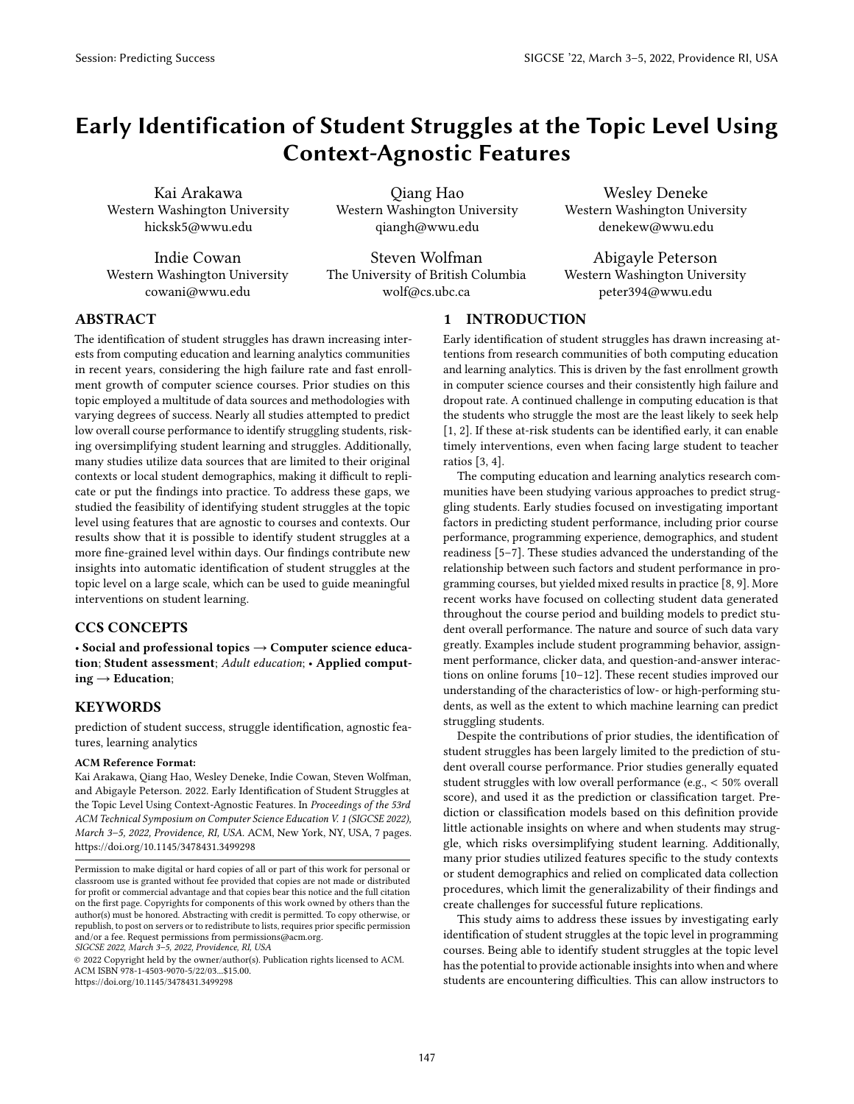# Early Identification of Student Struggles at the Topic Level Using Context-Agnostic Features

Kai Arakawa Western Washington University hicksk5@wwu.edu

Indie Cowan Western Washington University cowani@wwu.edu

Qiang Hao Western Washington University qiangh@wwu.edu

Steven Wolfman The University of British Columbia wolf@cs.ubc.ca

Wesley Deneke Western Washington University denekew@wwu.edu

Abigayle Peterson Western Washington University peter394@wwu.edu

# ABSTRACT

The identification of student struggles has drawn increasing interests from computing education and learning analytics communities in recent years, considering the high failure rate and fast enrollment growth of computer science courses. Prior studies on this topic employed a multitude of data sources and methodologies with varying degrees of success. Nearly all studies attempted to predict low overall course performance to identify struggling students, risking oversimplifying student learning and struggles. Additionally, many studies utilize data sources that are limited to their original contexts or local student demographics, making it difficult to replicate or put the findings into practice. To address these gaps, we studied the feasibility of identifying student struggles at the topic level using features that are agnostic to courses and contexts. Our results show that it is possible to identify student struggles at a more fine-grained level within days. Our findings contribute new insights into automatic identification of student struggles at the topic level on a large scale, which can be used to guide meaningful interventions on student learning.

# CCS CONCEPTS

• Social and professional topics  $\rightarrow$  Computer science education; Student assessment; Adult education; • Applied comput $ing \rightarrow Education;$ 

# **KEYWORDS**

prediction of student success, struggle identification, agnostic features, learning analytics

### ACM Reference Format:

Kai Arakawa, Qiang Hao, Wesley Deneke, Indie Cowan, Steven Wolfman, and Abigayle Peterson. 2022. Early Identification of Student Struggles at the Topic Level Using Context-Agnostic Features. In Proceedings of the 53rd ACM Technical Symposium on Computer Science Education V. 1 (SIGCSE 2022), March 3–5, 2022, Providence, RI, USA. ACM, New York, NY, USA, [7](#page-6-0) pages. <https://doi.org/10.1145/3478431.3499298>

SIGCSE 2022, March 3–5, 2022, Providence, RI, USA

© 2022 Copyright held by the owner/author(s). Publication rights licensed to ACM. ACM ISBN 978-1-4503-9070-5/22/03...\$15.00. <https://doi.org/10.1145/3478431.3499298>

# 1 INTRODUCTION

Early identification of student struggles has drawn increasing attentions from research communities of both computing education and learning analytics. This is driven by the fast enrollment growth in computer science courses and their consistently high failure and dropout rate. A continued challenge in computing education is that the students who struggle the most are the least likely to seek help [\[1,](#page-5-0) [2\]](#page-6-1). If these at-risk students can be identified early, it can enable timely interventions, even when facing large student to teacher ratios [\[3,](#page-6-2) [4\]](#page-6-3).

The computing education and learning analytics research communities have been studying various approaches to predict struggling students. Early studies focused on investigating important factors in predicting student performance, including prior course performance, programming experience, demographics, and student readiness [\[5–](#page-6-4)[7\]](#page-6-5). These studies advanced the understanding of the relationship between such factors and student performance in programming courses, but yielded mixed results in practice [\[8,](#page-6-6) [9\]](#page-6-7). More recent works have focused on collecting student data generated throughout the course period and building models to predict student overall performance. The nature and source of such data vary greatly. Examples include student programming behavior, assignment performance, clicker data, and question-and-answer interactions on online forums [\[10–](#page-6-8)[12\]](#page-6-9). These recent studies improved our understanding of the characteristics of low- or high-performing students, as well as the extent to which machine learning can predict struggling students.

Despite the contributions of prior studies, the identification of student struggles has been largely limited to the prediction of student overall course performance. Prior studies generally equated student struggles with low overall performance (e.g., < 50% overall score), and used it as the prediction or classification target. Prediction or classification models based on this definition provide little actionable insights on where and when students may struggle, which risks oversimplifying student learning. Additionally, many prior studies utilized features specific to the study contexts or student demographics and relied on complicated data collection procedures, which limit the generalizability of their findings and create challenges for successful future replications.

This study aims to address these issues by investigating early identification of student struggles at the topic level in programming courses. Being able to identify student struggles at the topic level has the potential to provide actionable insights into when and where students are encountering difficulties. This can allow instructors to

Permission to make digital or hard copies of all or part of this work for personal or classroom use is granted without fee provided that copies are not made or distributed for profit or commercial advantage and that copies bear this notice and the full citation on the first page. Copyrights for components of this work owned by others than the author(s) must be honored. Abstracting with credit is permitted. To copy otherwise, or republish, to post on servers or to redistribute to lists, requires prior specific permission and/or a fee. Request permissions from permissions@acm.org.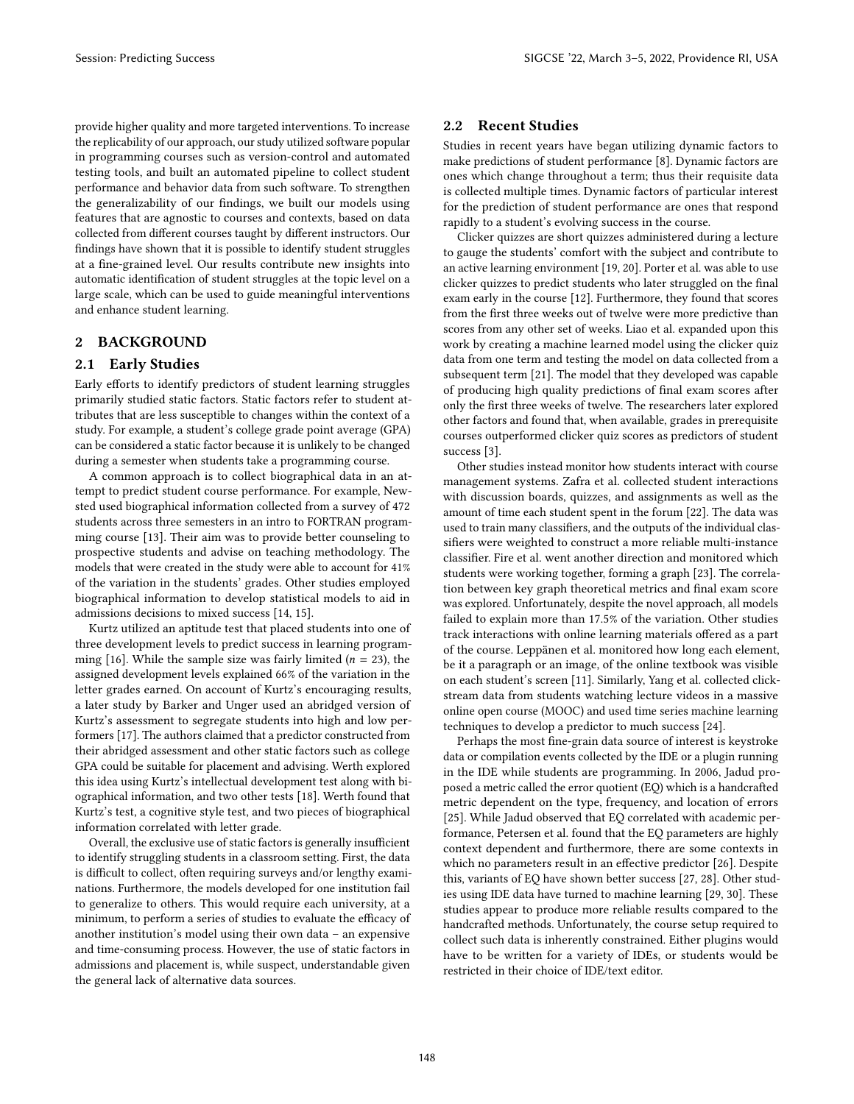provide higher quality and more targeted interventions. To increase the replicability of our approach, our study utilized software popular in programming courses such as version-control and automated testing tools, and built an automated pipeline to collect student performance and behavior data from such software. To strengthen the generalizability of our findings, we built our models using features that are agnostic to courses and contexts, based on data collected from different courses taught by different instructors. Our findings have shown that it is possible to identify student struggles at a fine-grained level. Our results contribute new insights into automatic identification of student struggles at the topic level on a large scale, which can be used to guide meaningful interventions and enhance student learning.

## 2 BACKGROUND

## 2.1 Early Studies

Early efforts to identify predictors of student learning struggles primarily studied static factors. Static factors refer to student attributes that are less susceptible to changes within the context of a study. For example, a student's college grade point average (GPA) can be considered a static factor because it is unlikely to be changed during a semester when students take a programming course.

A common approach is to collect biographical data in an attempt to predict student course performance. For example, Newsted used biographical information collected from a survey of 472 students across three semesters in an intro to FORTRAN programming course [\[13\]](#page-6-10). Their aim was to provide better counseling to prospective students and advise on teaching methodology. The models that were created in the study were able to account for 41% of the variation in the students' grades. Other studies employed biographical information to develop statistical models to aid in admissions decisions to mixed success [\[14,](#page-6-11) [15\]](#page-6-12).

Kurtz utilized an aptitude test that placed students into one of three development levels to predict success in learning program-ming [\[16\]](#page-6-13). While the sample size was fairly limited ( $n = 23$ ), the assigned development levels explained 66% of the variation in the letter grades earned. On account of Kurtz's encouraging results, a later study by Barker and Unger used an abridged version of Kurtz's assessment to segregate students into high and low performers [\[17\]](#page-6-14). The authors claimed that a predictor constructed from their abridged assessment and other static factors such as college GPA could be suitable for placement and advising. Werth explored this idea using Kurtz's intellectual development test along with biographical information, and two other tests [\[18\]](#page-6-15). Werth found that Kurtz's test, a cognitive style test, and two pieces of biographical information correlated with letter grade.

Overall, the exclusive use of static factors is generally insufficient to identify struggling students in a classroom setting. First, the data is difficult to collect, often requiring surveys and/or lengthy examinations. Furthermore, the models developed for one institution fail to generalize to others. This would require each university, at a minimum, to perform a series of studies to evaluate the efficacy of another institution's model using their own data – an expensive and time-consuming process. However, the use of static factors in admissions and placement is, while suspect, understandable given the general lack of alternative data sources.

## 2.2 Recent Studies

Studies in recent years have began utilizing dynamic factors to make predictions of student performance [\[8\]](#page-6-6). Dynamic factors are ones which change throughout a term; thus their requisite data is collected multiple times. Dynamic factors of particular interest for the prediction of student performance are ones that respond rapidly to a student's evolving success in the course.

Clicker quizzes are short quizzes administered during a lecture to gauge the students' comfort with the subject and contribute to an active learning environment [\[19,](#page-6-16) [20\]](#page-6-17). Porter et al. was able to use clicker quizzes to predict students who later struggled on the final exam early in the course [\[12\]](#page-6-9). Furthermore, they found that scores from the first three weeks out of twelve were more predictive than scores from any other set of weeks. Liao et al. expanded upon this work by creating a machine learned model using the clicker quiz data from one term and testing the model on data collected from a subsequent term [\[21\]](#page-6-18). The model that they developed was capable of producing high quality predictions of final exam scores after only the first three weeks of twelve. The researchers later explored other factors and found that, when available, grades in prerequisite courses outperformed clicker quiz scores as predictors of student success [\[3\]](#page-6-2).

Other studies instead monitor how students interact with course management systems. Zafra et al. collected student interactions with discussion boards, quizzes, and assignments as well as the amount of time each student spent in the forum [\[22\]](#page-6-19). The data was used to train many classifiers, and the outputs of the individual classifiers were weighted to construct a more reliable multi-instance classifier. Fire et al. went another direction and monitored which students were working together, forming a graph [\[23\]](#page-6-20). The correlation between key graph theoretical metrics and final exam score was explored. Unfortunately, despite the novel approach, all models failed to explain more than 17.5% of the variation. Other studies track interactions with online learning materials offered as a part of the course. Leppänen et al. monitored how long each element, be it a paragraph or an image, of the online textbook was visible on each student's screen [\[11\]](#page-6-21). Similarly, Yang et al. collected clickstream data from students watching lecture videos in a massive online open course (MOOC) and used time series machine learning techniques to develop a predictor to much success [\[24\]](#page-6-22).

Perhaps the most fine-grain data source of interest is keystroke data or compilation events collected by the IDE or a plugin running in the IDE while students are programming. In 2006, Jadud proposed a metric called the error quotient (EQ) which is a handcrafted metric dependent on the type, frequency, and location of errors [\[25\]](#page-6-23). While Jadud observed that EQ correlated with academic performance, Petersen et al. found that the EQ parameters are highly context dependent and furthermore, there are some contexts in which no parameters result in an effective predictor [\[26\]](#page-6-24). Despite this, variants of EQ have shown better success [\[27,](#page-6-25) [28\]](#page-6-26). Other studies using IDE data have turned to machine learning [\[29,](#page-6-27) [30\]](#page-6-28). These studies appear to produce more reliable results compared to the handcrafted methods. Unfortunately, the course setup required to collect such data is inherently constrained. Either plugins would have to be written for a variety of IDEs, or students would be restricted in their choice of IDE/text editor.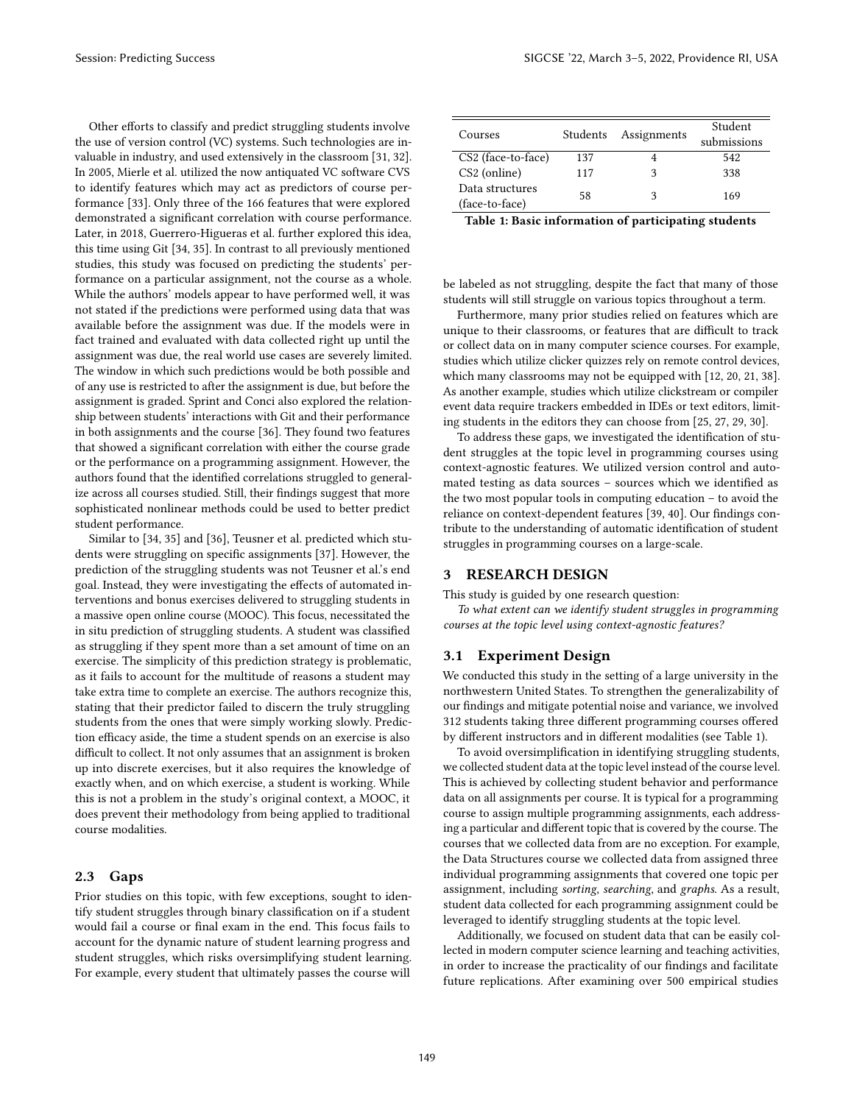Other efforts to classify and predict struggling students involve the use of version control (VC) systems. Such technologies are invaluable in industry, and used extensively in the classroom [\[31,](#page-6-29) [32\]](#page-6-30). In 2005, Mierle et al. utilized the now antiquated VC software CVS to identify features which may act as predictors of course performance [\[33\]](#page-6-31). Only three of the 166 features that were explored demonstrated a significant correlation with course performance. Later, in 2018, Guerrero-Higueras et al. further explored this idea, this time using Git [\[34,](#page-6-32) [35\]](#page-6-33). In contrast to all previously mentioned studies, this study was focused on predicting the students' performance on a particular assignment, not the course as a whole. While the authors' models appear to have performed well, it was not stated if the predictions were performed using data that was available before the assignment was due. If the models were in fact trained and evaluated with data collected right up until the assignment was due, the real world use cases are severely limited. The window in which such predictions would be both possible and of any use is restricted to after the assignment is due, but before the assignment is graded. Sprint and Conci also explored the relationship between students' interactions with Git and their performance in both assignments and the course [\[36\]](#page-6-34). They found two features that showed a significant correlation with either the course grade or the performance on a programming assignment. However, the authors found that the identified correlations struggled to generalize across all courses studied. Still, their findings suggest that more sophisticated nonlinear methods could be used to better predict student performance.

Similar to [\[34,](#page-6-32) [35\]](#page-6-33) and [\[36\]](#page-6-34), Teusner et al. predicted which students were struggling on specific assignments [\[37\]](#page-6-35). However, the prediction of the struggling students was not Teusner et al.'s end goal. Instead, they were investigating the effects of automated interventions and bonus exercises delivered to struggling students in a massive open online course (MOOC). This focus, necessitated the in situ prediction of struggling students. A student was classified as struggling if they spent more than a set amount of time on an exercise. The simplicity of this prediction strategy is problematic, as it fails to account for the multitude of reasons a student may take extra time to complete an exercise. The authors recognize this, stating that their predictor failed to discern the truly struggling students from the ones that were simply working slowly. Prediction efficacy aside, the time a student spends on an exercise is also difficult to collect. It not only assumes that an assignment is broken up into discrete exercises, but it also requires the knowledge of exactly when, and on which exercise, a student is working. While this is not a problem in the study's original context, a MOOC, it does prevent their methodology from being applied to traditional course modalities.

## 2.3 Gaps

Prior studies on this topic, with few exceptions, sought to identify student struggles through binary classification on if a student would fail a course or final exam in the end. This focus fails to account for the dynamic nature of student learning progress and student struggles, which risks oversimplifying student learning. For example, every student that ultimately passes the course will

<span id="page-2-0"></span>

| Courses                           | Students | Assignments | Student<br>submissions |
|-----------------------------------|----------|-------------|------------------------|
| CS2 (face-to-face)                | 137      |             | 542                    |
| CS2 (online)                      | 117      |             | 338                    |
| Data structures<br>(face-to-face) | 58       |             | 169                    |

Table 1: Basic information of participating students

be labeled as not struggling, despite the fact that many of those students will still struggle on various topics throughout a term.

Furthermore, many prior studies relied on features which are unique to their classrooms, or features that are difficult to track or collect data on in many computer science courses. For example, studies which utilize clicker quizzes rely on remote control devices, which many classrooms may not be equipped with [\[12,](#page-6-9) [20,](#page-6-17) [21,](#page-6-18) [38\]](#page-6-36). As another example, studies which utilize clickstream or compiler event data require trackers embedded in IDEs or text editors, limiting students in the editors they can choose from [\[25,](#page-6-23) [27,](#page-6-25) [29,](#page-6-27) [30\]](#page-6-28).

To address these gaps, we investigated the identification of student struggles at the topic level in programming courses using context-agnostic features. We utilized version control and automated testing as data sources – sources which we identified as the two most popular tools in computing education – to avoid the reliance on context-dependent features [\[39,](#page-6-37) [40\]](#page-6-38). Our findings contribute to the understanding of automatic identification of student struggles in programming courses on a large-scale.

# 3 RESEARCH DESIGN

This study is guided by one research question:

To what extent can we identify student struggles in programming courses at the topic level using context-agnostic features?

### 3.1 Experiment Design

We conducted this study in the setting of a large university in the northwestern United States. To strengthen the generalizability of our findings and mitigate potential noise and variance, we involved 312 students taking three different programming courses offered by different instructors and in different modalities (see Table [1\)](#page-2-0).

To avoid oversimplification in identifying struggling students, we collected student data at the topic level instead of the course level. This is achieved by collecting student behavior and performance data on all assignments per course. It is typical for a programming course to assign multiple programming assignments, each addressing a particular and different topic that is covered by the course. The courses that we collected data from are no exception. For example, the Data Structures course we collected data from assigned three individual programming assignments that covered one topic per assignment, including sorting, searching, and graphs. As a result, student data collected for each programming assignment could be leveraged to identify struggling students at the topic level.

Additionally, we focused on student data that can be easily collected in modern computer science learning and teaching activities, in order to increase the practicality of our findings and facilitate future replications. After examining over 500 empirical studies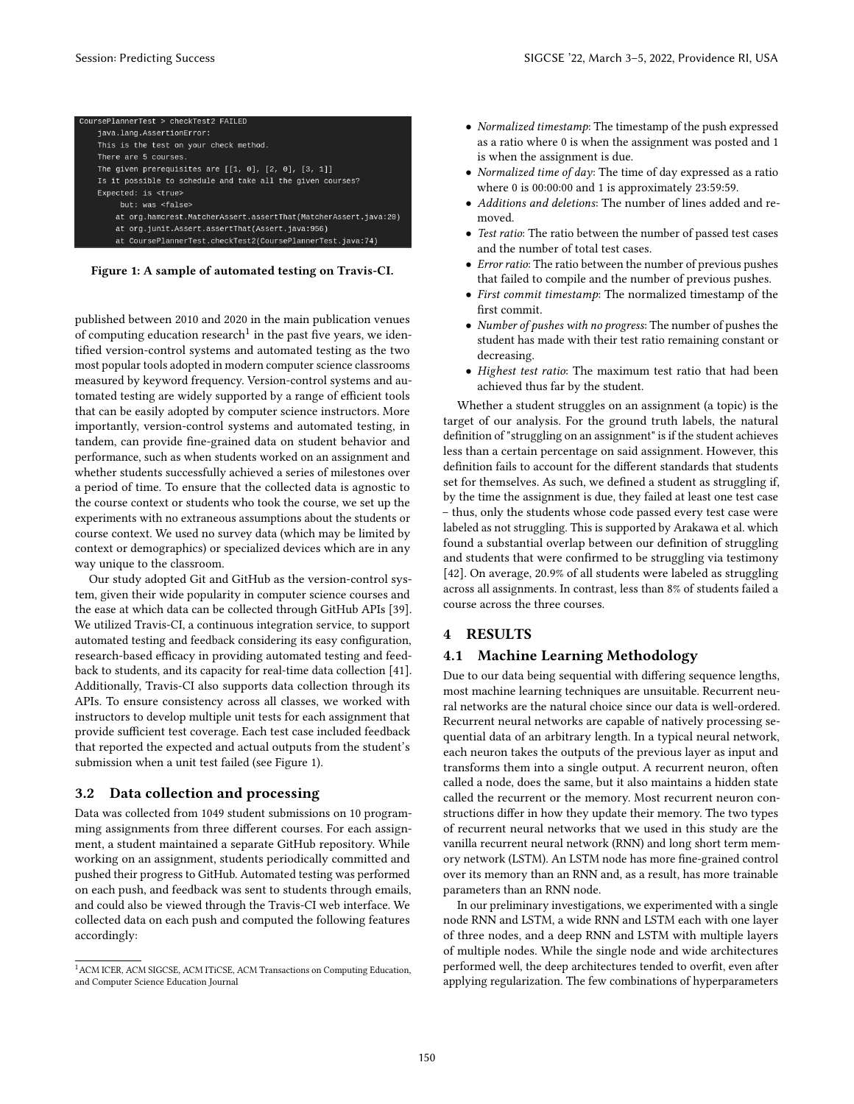<span id="page-3-1"></span>

| CoursePlannerTest > checkTest2 FAILED                           |
|-----------------------------------------------------------------|
| java.lang.AssertionError:                                       |
| This is the test on your check method.                          |
| There are 5 courses.                                            |
| The given prerequisites are $[[1, 0], [2, 0], [3, 1]]$          |
| Is it possible to schedule and take all the given courses?      |
| Expected: is <true></true>                                      |
| but: was <false></false>                                        |
| at org.hamcrest.MatcherAssert.assertThat(MatcherAssert.java:20) |
| at org.junit.Assert.assertThat(Assert.java:956)                 |
| at CoursePlannerTest.checkTest2(CoursePlannerTest.java:74)      |

Figure 1: A sample of automated testing on Travis-CI.

published between 2010 and 2020 in the main publication venues of computing education research $^1$  $^1$  in the past five years, we identified version-control systems and automated testing as the two most popular tools adopted in modern computer science classrooms measured by keyword frequency. Version-control systems and automated testing are widely supported by a range of efficient tools that can be easily adopted by computer science instructors. More importantly, version-control systems and automated testing, in tandem, can provide fine-grained data on student behavior and performance, such as when students worked on an assignment and whether students successfully achieved a series of milestones over a period of time. To ensure that the collected data is agnostic to the course context or students who took the course, we set up the experiments with no extraneous assumptions about the students or course context. We used no survey data (which may be limited by context or demographics) or specialized devices which are in any way unique to the classroom.

Our study adopted Git and GitHub as the version-control system, given their wide popularity in computer science courses and the ease at which data can be collected through GitHub APIs [\[39\]](#page-6-37). We utilized Travis-CI, a continuous integration service, to support automated testing and feedback considering its easy configuration, research-based efficacy in providing automated testing and feedback to students, and its capacity for real-time data collection [\[41\]](#page-6-39). Additionally, Travis-CI also supports data collection through its APIs. To ensure consistency across all classes, we worked with instructors to develop multiple unit tests for each assignment that provide sufficient test coverage. Each test case included feedback that reported the expected and actual outputs from the student's submission when a unit test failed (see Figure [1\)](#page-3-1).

#### 3.2 Data collection and processing

Data was collected from 1049 student submissions on 10 programming assignments from three different courses. For each assignment, a student maintained a separate GitHub repository. While working on an assignment, students periodically committed and pushed their progress to GitHub. Automated testing was performed on each push, and feedback was sent to students through emails, and could also be viewed through the Travis-CI web interface. We collected data on each push and computed the following features accordingly:

- Normalized timestamp: The timestamp of the push expressed as a ratio where 0 is when the assignment was posted and 1 is when the assignment is due.
- Normalized time of day: The time of day expressed as a ratio where 0 is 00:00:00 and 1 is approximately 23:59:59.
- Additions and deletions: The number of lines added and removed.
- Test ratio: The ratio between the number of passed test cases and the number of total test cases.
- Error ratio: The ratio between the number of previous pushes that failed to compile and the number of previous pushes.
- First commit timestamp: The normalized timestamp of the first commit.
- Number of pushes with no progress: The number of pushes the student has made with their test ratio remaining constant or decreasing.
- Highest test ratio: The maximum test ratio that had been achieved thus far by the student.

Whether a student struggles on an assignment (a topic) is the target of our analysis. For the ground truth labels, the natural definition of "struggling on an assignment" is if the student achieves less than a certain percentage on said assignment. However, this definition fails to account for the different standards that students set for themselves. As such, we defined a student as struggling if, by the time the assignment is due, they failed at least one test case – thus, only the students whose code passed every test case were labeled as not struggling. This is supported by Arakawa et al. which found a substantial overlap between our definition of struggling and students that were confirmed to be struggling via testimony [\[42\]](#page-6-40). On average, 20.9% of all students were labeled as struggling across all assignments. In contrast, less than 8% of students failed a course across the three courses.

## 4 RESULTS

# 4.1 Machine Learning Methodology

Due to our data being sequential with differing sequence lengths, most machine learning techniques are unsuitable. Recurrent neural networks are the natural choice since our data is well-ordered. Recurrent neural networks are capable of natively processing sequential data of an arbitrary length. In a typical neural network, each neuron takes the outputs of the previous layer as input and transforms them into a single output. A recurrent neuron, often called a node, does the same, but it also maintains a hidden state called the recurrent or the memory. Most recurrent neuron constructions differ in how they update their memory. The two types of recurrent neural networks that we used in this study are the vanilla recurrent neural network (RNN) and long short term memory network (LSTM). An LSTM node has more fine-grained control over its memory than an RNN and, as a result, has more trainable parameters than an RNN node.

In our preliminary investigations, we experimented with a single node RNN and LSTM, a wide RNN and LSTM each with one layer of three nodes, and a deep RNN and LSTM with multiple layers of multiple nodes. While the single node and wide architectures performed well, the deep architectures tended to overfit, even after applying regularization. The few combinations of hyperparameters

<span id="page-3-0"></span> $^{\rm 1}$  ACM ICER, ACM SIGCSE, ACM ITiCSE, ACM Transactions on Computing Education, and Computer Science Education Journal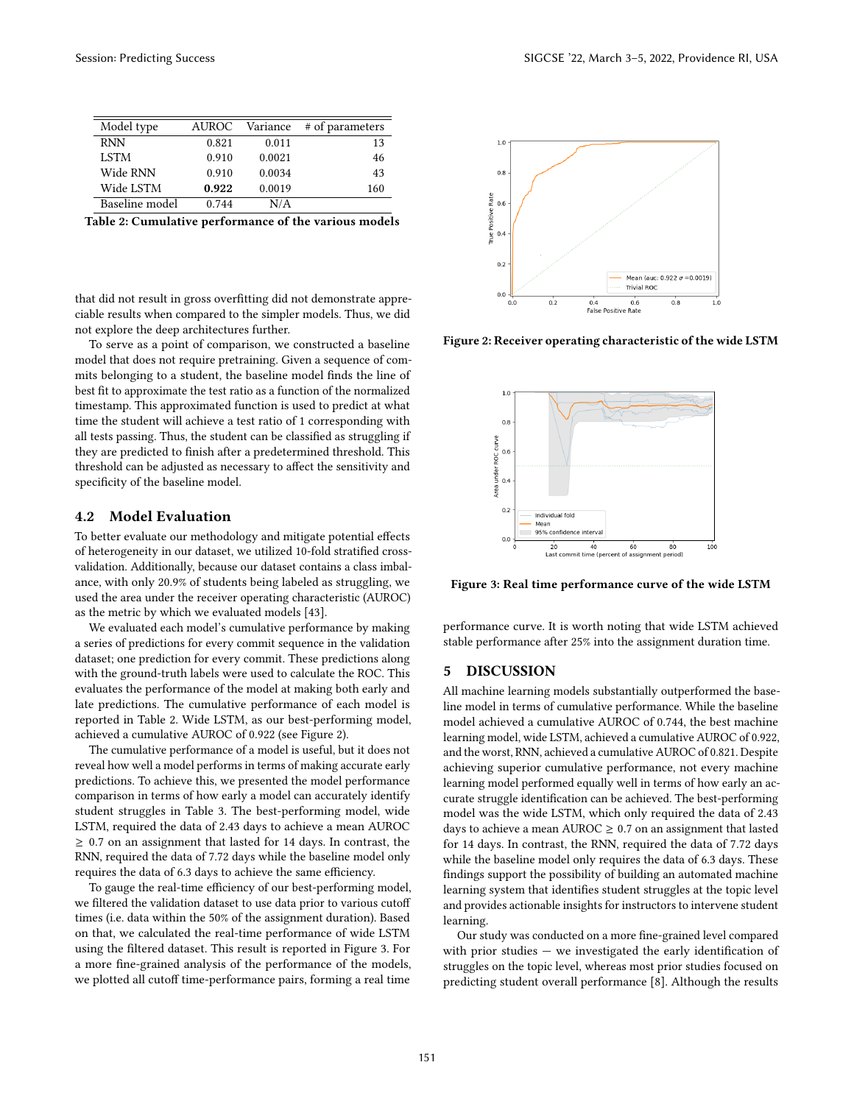<span id="page-4-0"></span>

| Model type     | AUROC | Variance | # of parameters |
|----------------|-------|----------|-----------------|
| <b>RNN</b>     | 0.821 | 0.011    | 13              |
| <b>LSTM</b>    | 0.910 | 0.0021   | 46              |
| Wide RNN       | 0.910 | 0.0034   | 43              |
| Wide LSTM      | 0.922 | 0.0019   | 160             |
| Baseline model | 0.744 | N/A      |                 |

Table 2: Cumulative performance of the various models

that did not result in gross overfitting did not demonstrate appreciable results when compared to the simpler models. Thus, we did not explore the deep architectures further.

To serve as a point of comparison, we constructed a baseline model that does not require pretraining. Given a sequence of commits belonging to a student, the baseline model finds the line of best fit to approximate the test ratio as a function of the normalized timestamp. This approximated function is used to predict at what time the student will achieve a test ratio of 1 corresponding with all tests passing. Thus, the student can be classified as struggling if they are predicted to finish after a predetermined threshold. This threshold can be adjusted as necessary to affect the sensitivity and specificity of the baseline model.

## 4.2 Model Evaluation

To better evaluate our methodology and mitigate potential effects of heterogeneity in our dataset, we utilized 10-fold stratified crossvalidation. Additionally, because our dataset contains a class imbalance, with only 20.9% of students being labeled as struggling, we used the area under the receiver operating characteristic (AUROC) as the metric by which we evaluated models [\[43\]](#page-6-41).

We evaluated each model's cumulative performance by making a series of predictions for every commit sequence in the validation dataset; one prediction for every commit. These predictions along with the ground-truth labels were used to calculate the ROC. This evaluates the performance of the model at making both early and late predictions. The cumulative performance of each model is reported in Table [2.](#page-4-0) Wide LSTM, as our best-performing model, achieved a cumulative AUROC of 0.922 (see Figure [2\)](#page-4-1).

The cumulative performance of a model is useful, but it does not reveal how well a model performs in terms of making accurate early predictions. To achieve this, we presented the model performance comparison in terms of how early a model can accurately identify student struggles in Table [3.](#page-5-1) The best-performing model, wide LSTM, required the data of 2.43 days to achieve a mean AUROC ≥ 0.7 on an assignment that lasted for 14 days. In contrast, the RNN, required the data of 7.72 days while the baseline model only requires the data of 6.3 days to achieve the same efficiency.

To gauge the real-time efficiency of our best-performing model, we filtered the validation dataset to use data prior to various cutoff times (i.e. data within the 50% of the assignment duration). Based on that, we calculated the real-time performance of wide LSTM using the filtered dataset. This result is reported in Figure [3.](#page-4-2) For a more fine-grained analysis of the performance of the models, we plotted all cutoff time-performance pairs, forming a real time

<span id="page-4-1"></span>

<span id="page-4-2"></span>Figure 2: Receiver operating characteristic of the wide LSTM



Figure 3: Real time performance curve of the wide LSTM

performance curve. It is worth noting that wide LSTM achieved stable performance after 25% into the assignment duration time.

## 5 DISCUSSION

All machine learning models substantially outperformed the baseline model in terms of cumulative performance. While the baseline model achieved a cumulative AUROC of 0.744, the best machine learning model, wide LSTM, achieved a cumulative AUROC of 0.922, and the worst, RNN, achieved a cumulative AUROC of 0.821. Despite achieving superior cumulative performance, not every machine learning model performed equally well in terms of how early an accurate struggle identification can be achieved. The best-performing model was the wide LSTM, which only required the data of 2.43 days to achieve a mean AUROC  $\geq$  0.7 on an assignment that lasted for 14 days. In contrast, the RNN, required the data of 7.72 days while the baseline model only requires the data of 6.3 days. These findings support the possibility of building an automated machine learning system that identifies student struggles at the topic level and provides actionable insights for instructors to intervene student learning.

Our study was conducted on a more fine-grained level compared with prior studies  $-$  we investigated the early identification of struggles on the topic level, whereas most prior studies focused on predicting student overall performance [\[8\]](#page-6-6). Although the results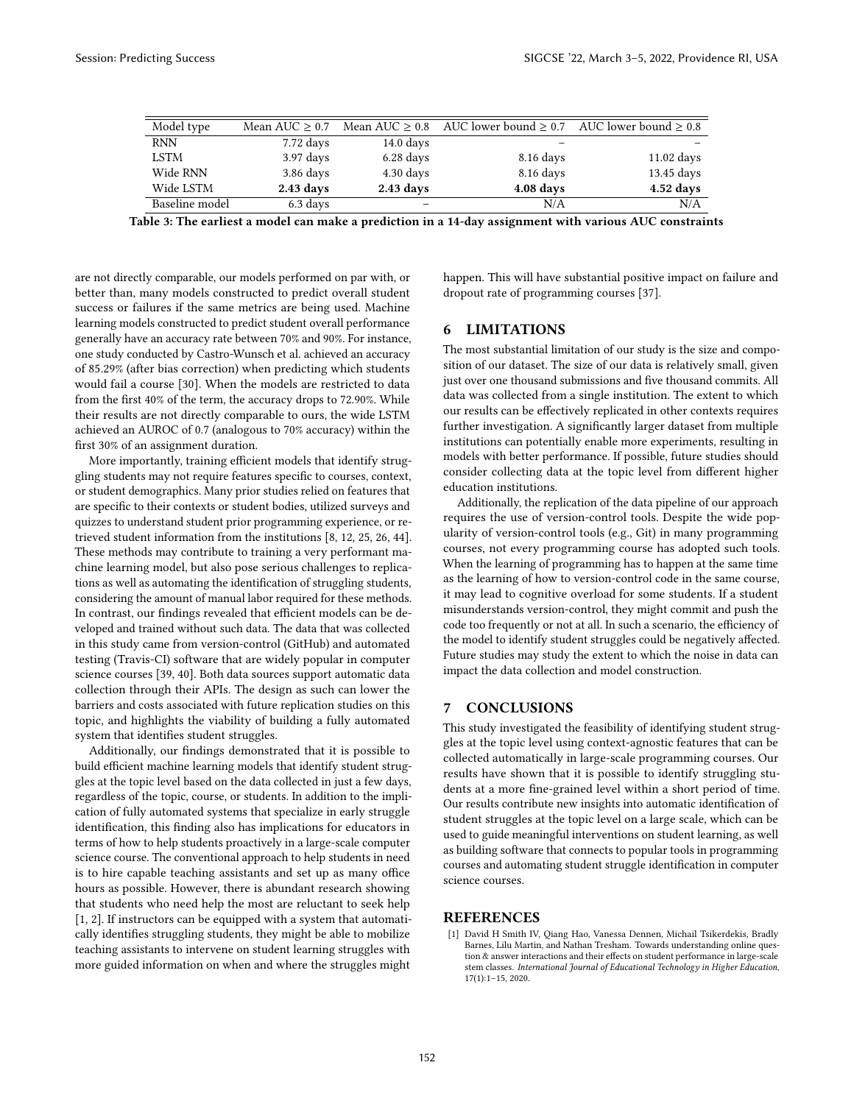<span id="page-5-1"></span>

| Model type     | Mean AUC $\geq 0.7$ |                     | Mean AUC $\geq$ 0.8 AUC lower bound $\geq$ 0.7 AUC lower bound $\geq$ 0.8 |              |
|----------------|---------------------|---------------------|---------------------------------------------------------------------------|--------------|
| <b>RNN</b>     | $7.72$ days         | $14.0 \text{ days}$ |                                                                           |              |
| <b>LSTM</b>    | $3.97$ days         | $6.28$ days         | 8.16 days                                                                 | $11.02$ days |
| Wide RNN       | $3.86$ days         | $4.30 \text{ days}$ | 8.16 days                                                                 | $13.45$ days |
| Wide LSTM      | 2.43 days           | $2.43$ days         | 4.08 days                                                                 | $4.52$ days  |
| Baseline model | 6.3 days            |                     | N/A                                                                       | N/A          |

Table 3: The earliest a model can make a prediction in a 14-day assignment with various AUC constraints

are not directly comparable, our models performed on par with, or better than, many models constructed to predict overall student success or failures if the same metrics are being used. Machine learning models constructed to predict student overall performance generally have an accuracy rate between 70% and 90%. For instance, one study conducted by Castro-Wunsch et al. achieved an accuracy of 85.29% (after bias correction) when predicting which students would fail a course [\[30\]](#page-6-28). When the models are restricted to data from the first 40% of the term, the accuracy drops to 72.90%. While their results are not directly comparable to ours, the wide LSTM achieved an AUROC of 0.7 (analogous to 70% accuracy) within the first 30% of an assignment duration.

More importantly, training efficient models that identify struggling students may not require features specific to courses, context, or student demographics. Many prior studies relied on features that are specific to their contexts or student bodies, utilized surveys and quizzes to understand student prior programming experience, or retrieved student information from the institutions [\[8,](#page-6-6) [12,](#page-6-9) [25,](#page-6-23) [26,](#page-6-24) [44\]](#page-6-42). These methods may contribute to training a very performant machine learning model, but also pose serious challenges to replications as well as automating the identification of struggling students, considering the amount of manual labor required for these methods. In contrast, our findings revealed that efficient models can be developed and trained without such data. The data that was collected in this study came from version-control (GitHub) and automated testing (Travis-CI) software that are widely popular in computer science courses [\[39,](#page-6-37) [40\]](#page-6-38). Both data sources support automatic data collection through their APIs. The design as such can lower the barriers and costs associated with future replication studies on this topic, and highlights the viability of building a fully automated system that identifies student struggles.

Additionally, our findings demonstrated that it is possible to build efficient machine learning models that identify student struggles at the topic level based on the data collected in just a few days, regardless of the topic, course, or students. In addition to the implication of fully automated systems that specialize in early struggle identification, this finding also has implications for educators in terms of how to help students proactively in a large-scale computer science course. The conventional approach to help students in need is to hire capable teaching assistants and set up as many office hours as possible. However, there is abundant research showing that students who need help the most are reluctant to seek help [\[1,](#page-5-0) [2\]](#page-6-1). If instructors can be equipped with a system that automatically identifies struggling students, they might be able to mobilize teaching assistants to intervene on student learning struggles with more guided information on when and where the struggles might

happen. This will have substantial positive impact on failure and dropout rate of programming courses [\[37\]](#page-6-35).

## 6 LIMITATIONS

The most substantial limitation of our study is the size and composition of our dataset. The size of our data is relatively small, given just over one thousand submissions and five thousand commits. All data was collected from a single institution. The extent to which our results can be effectively replicated in other contexts requires further investigation. A significantly larger dataset from multiple institutions can potentially enable more experiments, resulting in models with better performance. If possible, future studies should consider collecting data at the topic level from different higher education institutions.

Additionally, the replication of the data pipeline of our approach requires the use of version-control tools. Despite the wide popularity of version-control tools (e.g., Git) in many programming courses, not every programming course has adopted such tools. When the learning of programming has to happen at the same time as the learning of how to version-control code in the same course, it may lead to cognitive overload for some students. If a student misunderstands version-control, they might commit and push the code too frequently or not at all. In such a scenario, the efficiency of the model to identify student struggles could be negatively affected. Future studies may study the extent to which the noise in data can impact the data collection and model construction.

## 7 CONCLUSIONS

This study investigated the feasibility of identifying student struggles at the topic level using context-agnostic features that can be collected automatically in large-scale programming courses. Our results have shown that it is possible to identify struggling students at a more fine-grained level within a short period of time. Our results contribute new insights into automatic identification of student struggles at the topic level on a large scale, which can be used to guide meaningful interventions on student learning, as well as building software that connects to popular tools in programming courses and automating student struggle identification in computer science courses.

## **REFERENCES**

<span id="page-5-0"></span>[1] David H Smith IV, Qiang Hao, Vanessa Dennen, Michail Tsikerdekis, Bradly Barnes, Lilu Martin, and Nathan Tresham. Towards understanding online question & answer interactions and their effects on student performance in large-scale stem classes. International Journal of Educational Technology in Higher Education, 17(1):1–15, 2020.